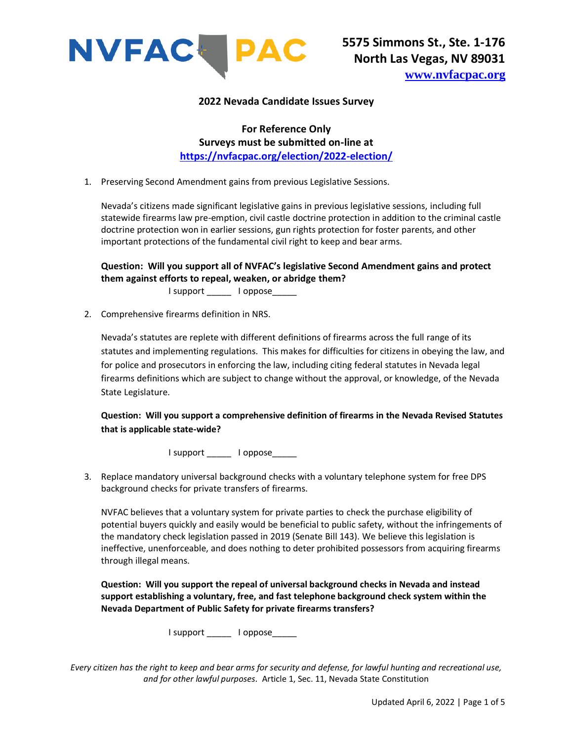

### **2022 Nevada Candidate Issues Survey**

**For Reference Only Surveys must be submitted on-line at <https://nvfacpac.org/election/2022-election/>**

1. Preserving Second Amendment gains from previous Legislative Sessions.

Nevada's citizens made significant legislative gains in previous legislative sessions, including full statewide firearms law pre-emption, civil castle doctrine protection in addition to the criminal castle doctrine protection won in earlier sessions, gun rights protection for foster parents, and other important protections of the fundamental civil right to keep and bear arms.

**Question: Will you support all of NVFAC's legislative Second Amendment gains and protect them against efforts to repeal, weaken, or abridge them?**

I support \_\_\_\_\_ I oppose\_\_\_\_\_

2. Comprehensive firearms definition in NRS.

Nevada's statutes are replete with different definitions of firearms across the full range of its statutes and implementing regulations. This makes for difficulties for citizens in obeying the law, and for police and prosecutors in enforcing the law, including citing federal statutes in Nevada legal firearms definitions which are subject to change without the approval, or knowledge, of the Nevada State Legislature.

**Question: Will you support a comprehensive definition of firearms in the Nevada Revised Statutes that is applicable state-wide?**

I support \_\_\_\_\_\_ I oppose\_\_\_\_\_

3. Replace mandatory universal background checks with a voluntary telephone system for free DPS background checks for private transfers of firearms.

NVFAC believes that a voluntary system for private parties to check the purchase eligibility of potential buyers quickly and easily would be beneficial to public safety, without the infringements of the mandatory check legislation passed in 2019 (Senate Bill 143). We believe this legislation is ineffective, unenforceable, and does nothing to deter prohibited possessors from acquiring firearms through illegal means.

**Question: Will you support the repeal of universal background checks in Nevada and instead support establishing a voluntary, free, and fast telephone background check system within the Nevada Department of Public Safety for private firearms transfers?**

I support \_\_\_\_\_\_ I oppose\_\_\_\_\_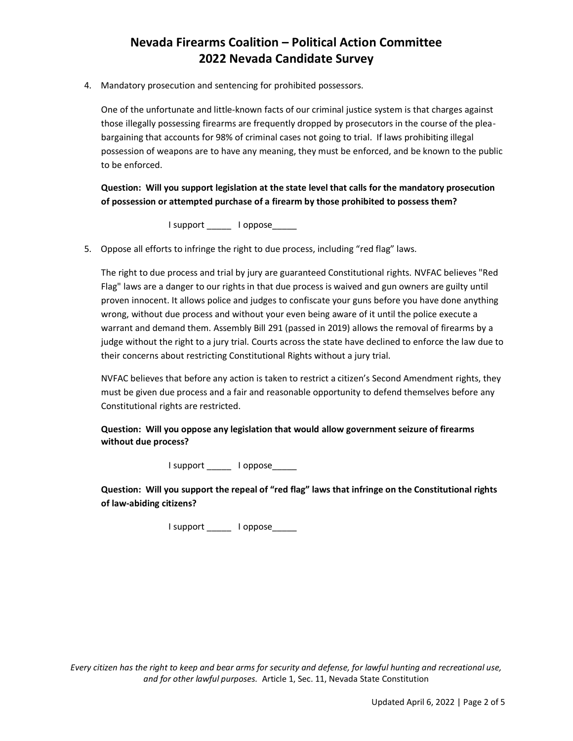4. Mandatory prosecution and sentencing for prohibited possessors.

One of the unfortunate and little-known facts of our criminal justice system is that charges against those illegally possessing firearms are frequently dropped by prosecutors in the course of the pleabargaining that accounts for 98% of criminal cases not going to trial. If laws prohibiting illegal possession of weapons are to have any meaning, they must be enforced, and be known to the public to be enforced.

**Question: Will you support legislation at the state level that calls for the mandatory prosecution of possession or attempted purchase of a firearm by those prohibited to possess them?**

I support \_\_\_\_\_\_ I oppose\_\_\_\_\_\_

5. Oppose all efforts to infringe the right to due process, including "red flag" laws.

The right to due process and trial by jury are guaranteed Constitutional rights. NVFAC believes "Red Flag" laws are a danger to our rights in that due process is waived and gun owners are guilty until proven innocent. It allows police and judges to confiscate your guns before you have done anything wrong, without due process and without your even being aware of it until the police execute a warrant and demand them. Assembly Bill 291 (passed in 2019) allows the removal of firearms by a judge without the right to a jury trial. Courts across the state have declined to enforce the law due to their concerns about restricting Constitutional Rights without a jury trial.

NVFAC believes that before any action is taken to restrict a citizen's Second Amendment rights, they must be given due process and a fair and reasonable opportunity to defend themselves before any Constitutional rights are restricted.

**Question: Will you oppose any legislation that would allow government seizure of firearms without due process?**

I support \_\_\_\_\_\_ I oppose\_\_\_\_\_

**Question: Will you support the repeal of "red flag" laws that infringe on the Constitutional rights of law-abiding citizens?**

I support \_\_\_\_\_\_ I oppose\_\_\_\_\_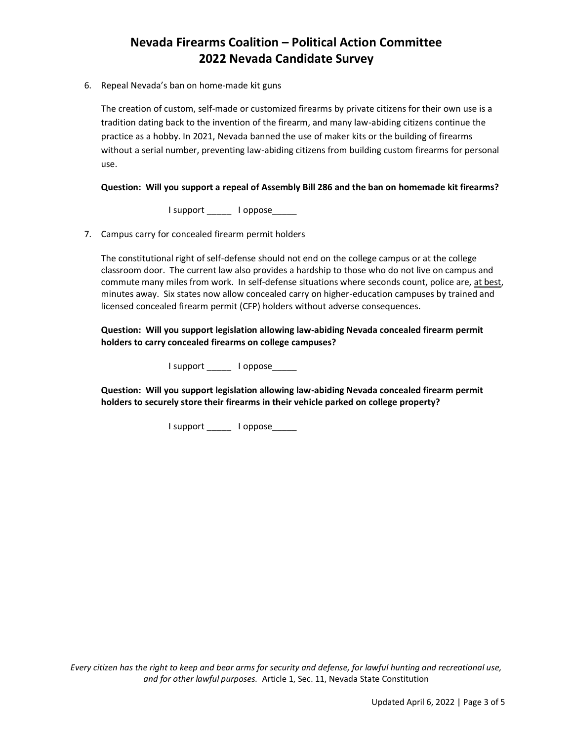6. Repeal Nevada's ban on home-made kit guns

The creation of custom, self-made or customized firearms by private citizens for their own use is a tradition dating back to the invention of the firearm, and many law-abiding citizens continue the practice as a hobby. In 2021, Nevada banned the use of maker kits or the building of firearms without a serial number, preventing law-abiding citizens from building custom firearms for personal use.

### **Question: Will you support a repeal of Assembly Bill 286 and the ban on homemade kit firearms?**

I support \_\_\_\_\_\_ I oppose\_\_\_\_\_

7. Campus carry for concealed firearm permit holders

The constitutional right of self-defense should not end on the college campus or at the college classroom door. The current law also provides a hardship to those who do not live on campus and commute many miles from work. In self-defense situations where seconds count, police are, at best, minutes away. Six states now allow concealed carry on higher-education campuses by trained and licensed concealed firearm permit (CFP) holders without adverse consequences.

**Question: Will you support legislation allowing law-abiding Nevada concealed firearm permit holders to carry concealed firearms on college campuses?**

I support loppose

**Question: Will you support legislation allowing law-abiding Nevada concealed firearm permit holders to securely store their firearms in their vehicle parked on college property?**

I support \_\_\_\_\_\_ I oppose\_\_\_\_\_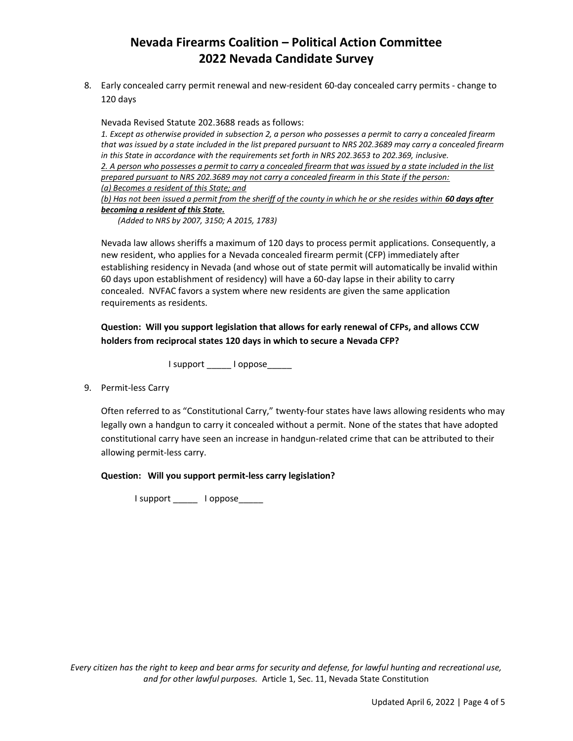8. Early concealed carry permit renewal and new-resident 60-day concealed carry permits - change to 120 days

Nevada Revised Statute 202.3688 reads as follows:

*1. Except as otherwise provided in subsection 2, a person who possesses a permit to carry a concealed firearm that was issued by a state included in the list prepared pursuant to NRS 202.3689 may carry a concealed firearm in this State in accordance with the requirements set forth in NRS 202.3653 to 202.369, inclusive. 2. A person who possesses a permit to carry a concealed firearm that was issued by a state included in the list prepared pursuant to NRS 202.3689 may not carry a concealed firearm in this State if the person: (a) Becomes a resident of this State; and (b)* Has not been issued a permit from the sheriff of the county in which he or she resides within 60 days after

#### *becoming a resident of this State.*

*(Added to NRS by 2007, 3150; A 2015, 1783)*

Nevada law allows sheriffs a maximum of 120 days to process permit applications. Consequently, a new resident, who applies for a Nevada concealed firearm permit (CFP) immediately after establishing residency in Nevada (and whose out of state permit will automatically be invalid within 60 days upon establishment of residency) will have a 60-day lapse in their ability to carry concealed. NVFAC favors a system where new residents are given the same application requirements as residents.

**Question: Will you support legislation that allows for early renewal of CFPs, and allows CCW holders from reciprocal states 120 days in which to secure a Nevada CFP?**

I support \_\_\_\_\_\_ I oppose\_\_\_\_\_

9. Permit-less Carry

Often referred to as "Constitutional Carry," twenty-four states have laws allowing residents who may legally own a handgun to carry it concealed without a permit. None of the states that have adopted constitutional carry have seen an increase in handgun-related crime that can be attributed to their allowing permit-less carry.

**Question: Will you support permit-less carry legislation?**

I support \_\_\_\_\_\_ I oppose\_\_\_\_\_